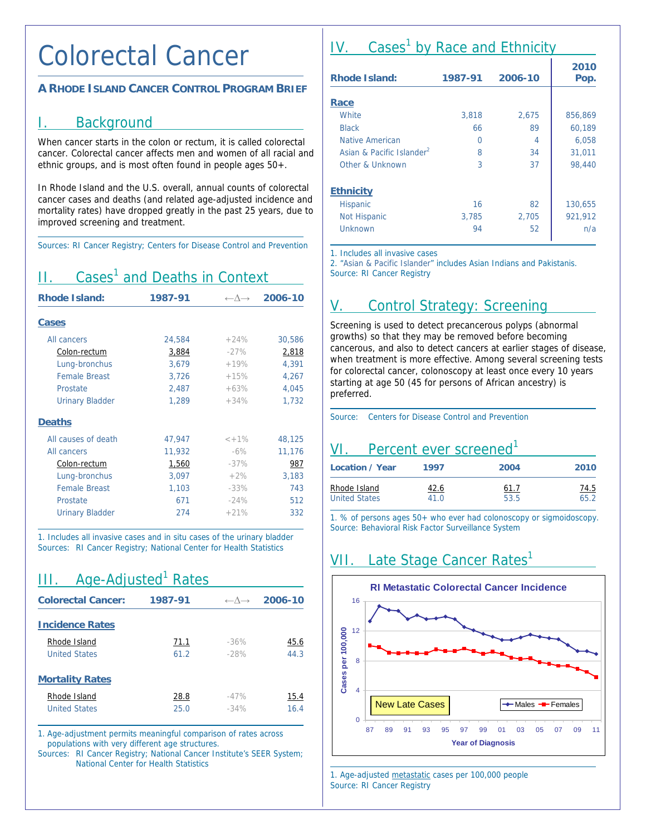### Colorectal Cancer

#### **A RHODE ISLAND CANCER CONTROL PROGRAM BRIEF**

#### I. Background

When cancer starts in the colon or rectum, it is called colorectal cancer. Colorectal cancer affects men and women of all racial and ethnic groups, and is most often found in people ages 50+.

In Rhode Island and the U.S. overall, annual counts of colorectal cancer cases and deaths (and related age-adjusted incidence and mortality rates) have dropped greatly in the past 25 years, due to improved screening and treatment.

Sources: RI Cancer Registry; Centers for Disease Control and Prevention

# II. Cases<sup>1</sup> and Deaths in Context

| <b>Rhode Island:</b>   | 1987-91 | $\leftarrow \wedge \rightarrow$ | 2006-10 |
|------------------------|---------|---------------------------------|---------|
| <b>Cases</b>           |         |                                 |         |
| All cancers            | 24,584  | $+24%$                          | 30,586  |
| Colon-rectum           | 3,884   | $-27%$                          | 2,818   |
| Lung-bronchus          | 3,679   | $+19%$                          | 4,391   |
| <b>Female Breast</b>   | 3,726   | $+15%$                          | 4,267   |
| Prostate               | 2,487   | $+63%$                          | 4,045   |
| <b>Urinary Bladder</b> | 1,289   | $+34%$                          | 1,732   |
| <b>Deaths</b>          |         |                                 |         |
| All causes of death    | 47,947  | $< +1\%$                        | 48,125  |
| All cancers            | 11,932  | $-6\%$                          | 11,176  |
| Colon-rectum           | 1,560   | $-37%$                          | 987     |
| Lung-bronchus          | 3,097   | $+2\%$                          | 3,183   |
| <b>Female Breast</b>   | 1,103   | $-33%$                          | 743     |
| Prostate               | 671     | $-24%$                          | 512     |
| <b>Urinary Bladder</b> | 274     | $+21%$                          | 332     |

1. Includes all invasive cases and in situ cases of the urinary bladder Sources: RI Cancer Registry; National Center for Health Statistics

### III. Age-Adjusted<sup>1</sup> Rates

| <b>Colorectal Cancer:</b>            | 1987-91      | $\leftarrow \wedge \rightarrow$ | 2006-10      |
|--------------------------------------|--------------|---------------------------------|--------------|
| <b>Incidence Rates</b>               |              |                                 |              |
| Rhode Island<br><b>United States</b> | 71.1<br>61.2 | $-36%$<br>$-28%$                | 45.6<br>44.3 |
| <b>Mortality Rates</b>               |              |                                 |              |
| Rhode Island<br><b>United States</b> | 28.8<br>25.0 | $-47%$<br>$-34%$                | 15.4<br>16.4 |

1. Age-adjustment permits meaningful comparison of rates across populations with very different age structures.

Sources: RI Cancer Registry; National Cancer Institute's SEER System; National Center for Health Statistics

# IV. Cases<sup>1</sup> by Race and Ethnicity

| <b>Rhode Island:</b>                  | 1987-91 | 2006-10 | 2010<br>Pop. |
|---------------------------------------|---------|---------|--------------|
|                                       |         |         |              |
| Race                                  |         |         |              |
| <b>White</b>                          | 3,818   | 2,675   | 856,869      |
| <b>Black</b>                          | 66      | 89      | 60,189       |
| Native American                       | 0       | 4       | 6,058        |
| Asian & Pacific Islander <sup>2</sup> | 8       | 34      | 31,011       |
| Other & Unknown                       | 3       | 37      | 98,440       |
| <b>Ethnicity</b>                      |         |         |              |
| <b>Hispanic</b>                       | 16      | 82      | 130,655      |
| <b>Not Hispanic</b>                   | 3,785   | 2,705   | 921,912      |
| Unknown                               | 94      | 52      | n/a          |

1. Includes all invasive cases

2. "Asian & Pacific Islander" includes Asian Indians and Pakistanis. Source: RI Cancer Registry

### V. Control Strategy: Screening

Screening is used to detect precancerous polyps (abnormal growths) so that they may be removed before becoming cancerous, and also to detect cancers at earlier stages of disease, when treatment is more effective. Among several screening tests for colorectal cancer, colonoscopy at least once every 10 years starting at age 50 (45 for persons of African ancestry) is preferred.

Source: Centers for Disease Control and Prevention

#### VI. Percent ever screened<sup>1</sup>  $\overline{a}$

| Location / Year      | 1997 | 2004 | 2010        |
|----------------------|------|------|-------------|
| Rhode Island         | 42.6 | 61.7 | <u>74.5</u> |
| <b>United States</b> | 41.0 | 53.5 | 65.2        |

1. % of persons ages 50+ who ever had colonoscopy or sigmoidoscopy. Source: Behavioral Risk Factor Surveillance System

 $\overline{a}$ 

# VII. Late Stage Cancer Rates<sup>1</sup>



1. Age-adjusted metastatic cases per 100,000 people Source: RI Cancer Registry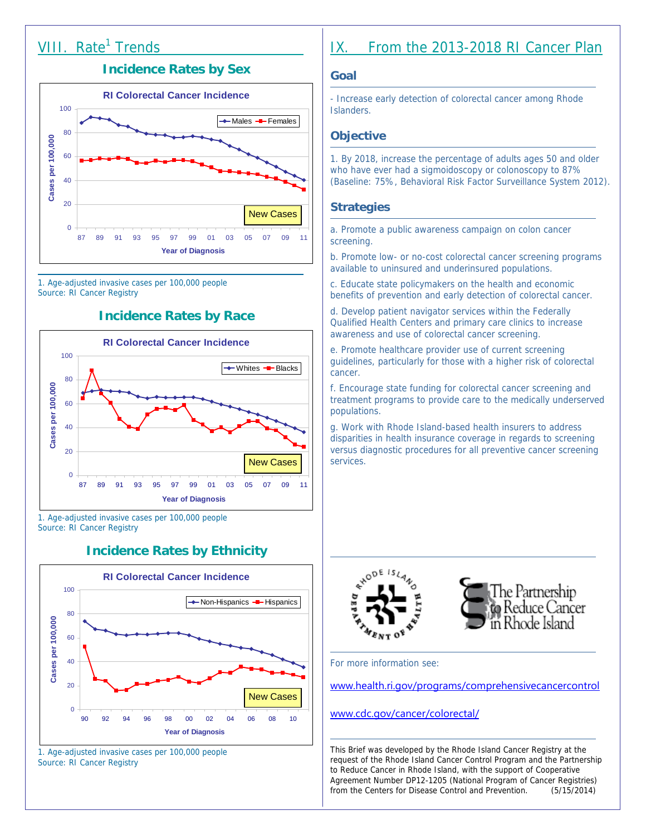# VIII. Rate<sup>1</sup> Trends

#### **Incidence Rates by Sex**



1. Age-adjusted invasive cases per 100,000 people Source: RI Cancer Registry

#### **Incidence Rates by Race**



1. Age-adjusted invasive cases per 100,000 people Source: RI Cancer Registry

#### **Incidence Rates by Ethnicity**



1. Age-adjusted invasive cases per 100,000 people Source: RI Cancer Registry

### IX. From the 2013-2018 RI Cancer Plan

#### **Goal**

- Increase early detection of colorectal cancer among Rhode Islanders.

#### **Objective**

1. By 2018, increase the percentage of adults ages 50 and older who have ever had a sigmoidoscopy or colonoscopy to 87% (Baseline: 75%, Behavioral Risk Factor Surveillance System 2012).

#### **Strategies**

a. Promote a public awareness campaign on colon cancer screening.

b. Promote low- or no-cost colorectal cancer screening programs available to uninsured and underinsured populations.

c. Educate state policymakers on the health and economic benefits of prevention and early detection of colorectal cancer.

d. Develop patient navigator services within the Federally Qualified Health Centers and primary care clinics to increase awareness and use of colorectal cancer screening.

e. Promote healthcare provider use of current screening guidelines, particularly for those with a higher risk of colorectal cancer.

f. Encourage state funding for colorectal cancer screening and treatment programs to provide care to the medically underserved populations.

g. Work with Rhode Island-based health insurers to address disparities in health insurance coverage in regards to screening versus diagnostic procedures for all preventive cancer screening services.





For more information see:

www.health.ri.gov/programs/comprehensivecancercontrol

#### www.cdc.gov/cancer/colorectal/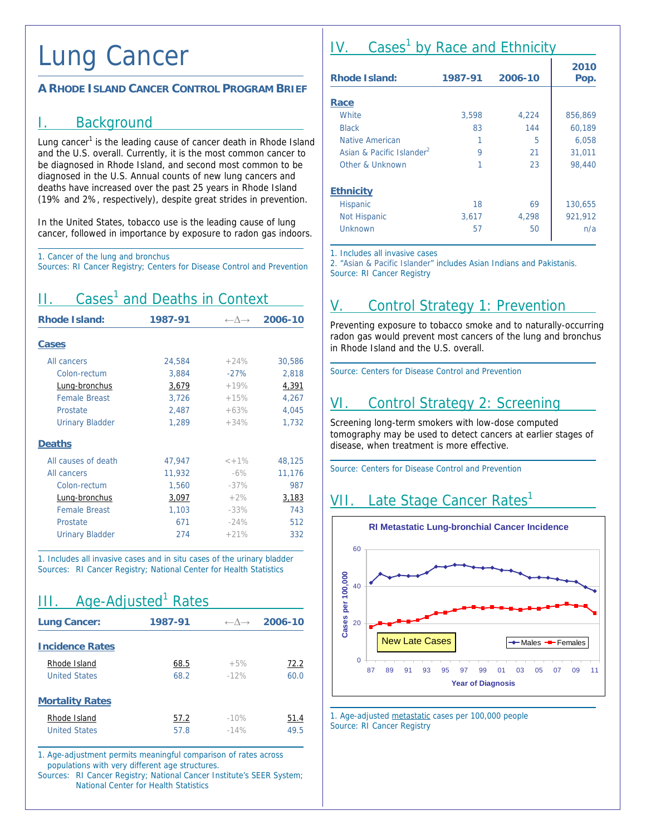# Lung Cancer

#### **A RHODE ISLAND CANCER CONTROL PROGRAM BRIEF**

#### I. Background

Lung cancer<sup>1</sup> is the leading cause of cancer death in Rhode Island and the U.S. overall. Currently, it is the most common cancer to be diagnosed in Rhode Island, and second most common to be diagnosed in the U.S. Annual counts of new lung cancers and deaths have increased over the past 25 years in Rhode Island (19% and 2%, respectively), despite great strides in prevention.

In the United States, tobacco use is the leading cause of lung cancer, followed in importance by exposure to radon gas indoors.

1. Cancer of the lung and bronchus

Sources: RI Cancer Registry; Centers for Disease Control and Prevention

# II. Cases<sup>1</sup> and Deaths in Context

| <b>Rhode Island:</b>   | 1987-91 | $\leftarrow \wedge \rightarrow$ | 2006-10 |
|------------------------|---------|---------------------------------|---------|
| <b>Cases</b>           |         |                                 |         |
| All cancers            | 24,584  | $+24%$                          | 30,586  |
| Colon-rectum           | 3,884   | $-27%$                          | 2,818   |
| Lung-bronchus          | 3,679   | $+19%$                          | 4,391   |
| <b>Female Breast</b>   | 3,726   | $+15%$                          | 4,267   |
| Prostate               | 2,487   | $+63%$                          | 4,045   |
| <b>Urinary Bladder</b> | 1,289   | $+34%$                          | 1,732   |
| <b>Deaths</b>          |         |                                 |         |
| All causes of death    | 47,947  | $< +1\%$                        | 48,125  |
| All cancers            | 11,932  | $-6\%$                          | 11,176  |
| Colon-rectum           | 1,560   | $-37%$                          | 987     |
| Lung-bronchus          | 3,097   | $+2%$                           | 3,183   |
| <b>Female Breast</b>   | 1,103   | $-33%$                          | 743     |
| Prostate               | 671     | $-24%$                          | 512     |
| <b>Urinary Bladder</b> | 274     | $+21%$                          | 332     |

1. Includes all invasive cases and in situ cases of the urinary bladder Sources: RI Cancer Registry; National Center for Health Statistics

| III.                   | Age-Adjusted <sup>1</sup> Rates |                                 |         |
|------------------------|---------------------------------|---------------------------------|---------|
| <b>Lung Cancer:</b>    | 1987-91                         | $\leftarrow \wedge \rightarrow$ | 2006-10 |
| <b>Incidence Rates</b> |                                 |                                 |         |
| Rhode Island           | 68.5                            | $+5%$                           | 72.2    |
| <b>United States</b>   | 68.2                            | $-12%$                          | 60.0    |
| <b>Mortality Rates</b> |                                 |                                 |         |
| Rhode Island           | 57.2                            | $-10%$                          | 51.4    |
| <b>United States</b>   | 57.8                            | $-14%$                          | 49.5    |

1. Age-adjustment permits meaningful comparison of rates across populations with very different age structures.

Sources: RI Cancer Registry; National Cancer Institute's SEER System; National Center for Health Statistics

# IV. Cases<sup>1</sup> by Race and Ethnicity

| <b>Rhode Island:</b>                  | 1987-91 | 2006-10 | 2010<br>Pop. |
|---------------------------------------|---------|---------|--------------|
|                                       |         |         |              |
| Race                                  |         |         |              |
| <b>White</b>                          | 3,598   | 4,224   | 856,869      |
| <b>Black</b>                          | 83      | 144     | 60,189       |
| Native American                       | 1       | 5       | 6,058        |
| Asian & Pacific Islander <sup>2</sup> | 9       | 21      | 31,011       |
| Other & Unknown                       | 1       | 23      | 98,440       |
| <b>Ethnicity</b>                      |         |         |              |
| <b>Hispanic</b>                       | 18      | 69      | 130,655      |
| <b>Not Hispanic</b>                   | 3,617   | 4,298   | 921,912      |
| Unknown                               | 57      | 50      | n/a          |

1. Includes all invasive cases

2. "Asian & Pacific Islander" includes Asian Indians and Pakistanis. Source: RI Cancer Registry

# V. Control Strategy 1: Prevention

Preventing exposure to tobacco smoke and to naturally-occurring radon gas would prevent most cancers of the lung and bronchus in Rhode Island and the U.S. overall.

Source: Centers for Disease Control and Prevention

# VI. Control Strategy 2: Screening

Screening long-term smokers with low-dose computed tomography may be used to detect cancers at earlier stages of disease, when treatment is more effective.

 $\overline{a}$ 

Source: Centers for Disease Control and Prevention

### VII. Late Stage Cancer Rates<sup>1</sup>



1. Age-adjusted metastatic cases per 100,000 people Source: RI Cancer Registry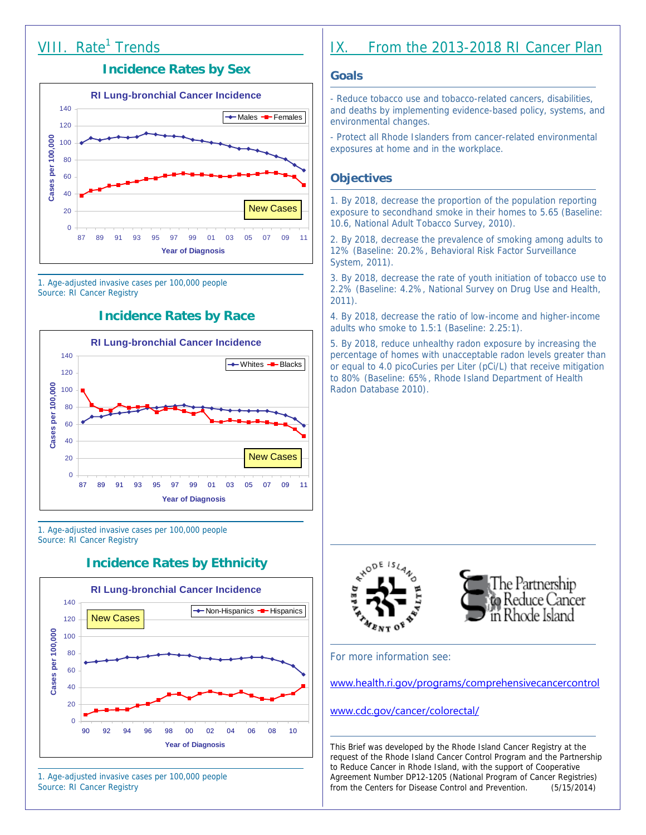# VIII. Rate<sup>1</sup> Trends

#### **Incidence Rates by Sex**



1. Age-adjusted invasive cases per 100,000 people Source: RI Cancer Registry

#### **Incidence Rates by Race**



1. Age-adjusted invasive cases per 100,000 people Source: RI Cancer Registry

#### **Incidence Rates by Ethnicity**



1. Age-adjusted invasive cases per 100,000 people Source: RI Cancer Registry

### IX. From the 2013-2018 RI Cancer Plan

#### **Goals**

- Reduce tobacco use and tobacco-related cancers, disabilities, and deaths by implementing evidence-based policy, systems, and environmental changes.

- Protect all Rhode Islanders from cancer-related environmental exposures at home and in the workplace.

#### **Objectives**

1. By 2018, decrease the proportion of the population reporting exposure to secondhand smoke in their homes to 5.65 (Baseline: 10.6, National Adult Tobacco Survey, 2010).

2. By 2018, decrease the prevalence of smoking among adults to 12% (Baseline: 20.2%, Behavioral Risk Factor Surveillance System, 2011).

3. By 2018, decrease the rate of youth initiation of tobacco use to 2.2% (Baseline: 4.2%, National Survey on Drug Use and Health, 2011).

4. By 2018, decrease the ratio of low-income and higher-income adults who smoke to 1.5:1 (Baseline: 2.25:1).

5. By 2018, reduce unhealthy radon exposure by increasing the percentage of homes with unacceptable radon levels greater than or equal to 4.0 picoCuries per Liter (pCi/L) that receive mitigation to 80% (Baseline: 65%, Rhode Island Department of Health Radon Database 2010).





For more information see:

www.health.ri.gov/programs/comprehensivecancercontrol

www.cdc.gov/cancer/colorectal/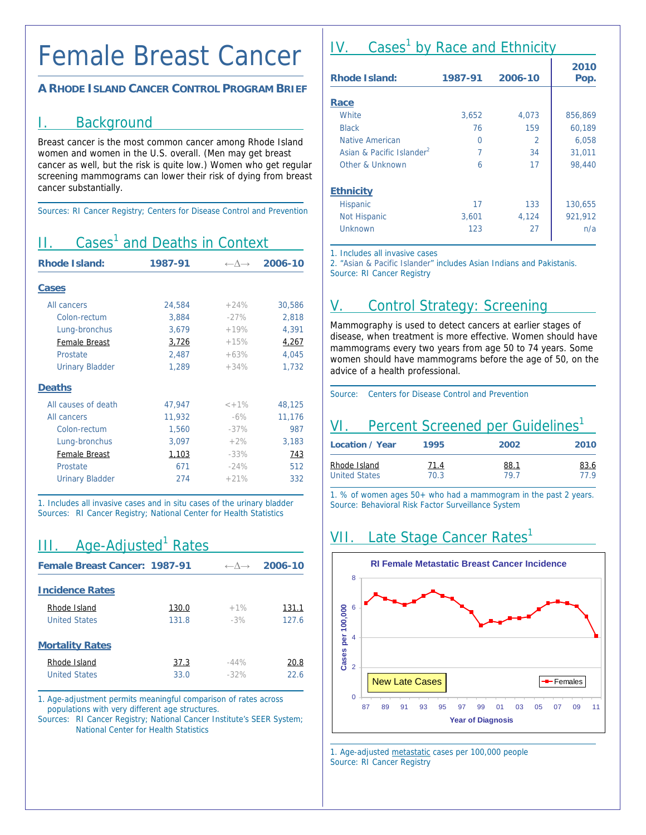# Female Breast Cancer

#### **A RHODE ISLAND CANCER CONTROL PROGRAM BRIEF**

#### I. Background

Breast cancer is the most common cancer among Rhode Island women and women in the U.S. overall. (Men may get breast cancer as well, but the risk is quite low.) Women who get regular screening mammograms can lower their risk of dying from breast cancer substantially.

Sources: RI Cancer Registry; Centers for Disease Control and Prevention

# II. Cases<sup>1</sup> and Deaths in Context

| <b>Rhode Island:</b>   | 1987-91 | $\leftarrow \wedge \rightarrow$ | 2006-10 |
|------------------------|---------|---------------------------------|---------|
| <b>Cases</b>           |         |                                 |         |
| All cancers            | 24,584  | $+24%$                          | 30,586  |
| Colon-rectum           | 3,884   | $-27\%$                         | 2,818   |
| Lung-bronchus          | 3,679   | $+19%$                          | 4,391   |
| Female Breast          | 3,726   | $+15%$                          | 4,267   |
| Prostate               | 2,487   | $+63%$                          | 4,045   |
| <b>Urinary Bladder</b> | 1,289   | $+34%$                          | 1,732   |
| <b>Deaths</b>          |         |                                 |         |
| All causes of death    | 47,947  | $< +1\%$                        | 48,125  |
| All cancers            | 11,932  | $-6\%$                          | 11,176  |
| Colon-rectum           | 1,560   | $-37%$                          | 987     |
| Lung-bronchus          | 3,097   | $+2%$                           | 3,183   |
| Female Breast          | 1,103   | $-33%$                          | 743     |
| Prostate               | 671     | $-24%$                          | 512     |
| <b>Urinary Bladder</b> | 274     | $+21%$                          | 332     |

1. Includes all invasive cases and in situ cases of the urinary bladder Sources: RI Cancer Registry; National Center for Health Statistics

# III. Age-Adjusted<sup>1</sup> Rates

| Female Breast Cancer: 1987-91 |       | $\leftarrow \wedge \rightarrow$ | 2006-10 |
|-------------------------------|-------|---------------------------------|---------|
| <b>Incidence Rates</b>        |       |                                 |         |
| Rhode Island                  | 130.0 | $+1%$                           | 131.1   |
| <b>United States</b>          | 131.8 | $-3%$                           | 127.6   |
| <b>Mortality Rates</b>        |       |                                 |         |
| Rhode Island                  | 37.3  | $-44%$                          | 20.8    |
| <b>United States</b>          | 33.0  | $-32%$                          | 22.6    |
|                               |       |                                 |         |

1. Age-adjustment permits meaningful comparison of rates across populations with very different age structures.

Sources: RI Cancer Registry; National Cancer Institute's SEER System; National Center for Health Statistics

# IV. Cases<sup>1</sup> by Race and Ethnicity

| <b>Rhode Island:</b>                  | 1987-91 | 2006-10 | 2010<br>Pop. |
|---------------------------------------|---------|---------|--------------|
|                                       |         |         |              |
| Race                                  |         |         |              |
| <b>White</b>                          | 3,652   | 4,073   | 856,869      |
| <b>Black</b>                          | 76      | 159     | 60,189       |
| Native American                       | 0       | 2       | 6,058        |
| Asian & Pacific Islander <sup>2</sup> | 7       | 34      | 31,011       |
| Other & Unknown                       | 6       | 17      | 98,440       |
| <b>Ethnicity</b>                      |         |         |              |
| <b>Hispanic</b>                       | 17      | 133     | 130,655      |
| <b>Not Hispanic</b>                   | 3,601   | 4,124   | 921,912      |
| Unknown                               | 123     | 27      | n/a          |

1. Includes all invasive cases

2. "Asian & Pacific Islander" includes Asian Indians and Pakistanis. Source: RI Cancer Registry

### V. Control Strategy: Screening

Mammography is used to detect cancers at earlier stages of disease, when treatment is more effective. Women should have mammograms every two years from age 50 to 74 years. Some women should have mammograms before the age of 50, on the advice of a health professional.

Source: Centers for Disease Control and Prevention

# VI. Percent Screened per Guidelines<sup>1</sup>

| Location / Year      | 1995        | 2002        | 2010        |
|----------------------|-------------|-------------|-------------|
| Rhode Island         | <u>71.4</u> | <u>88.1</u> | <u>83.6</u> |
| <b>United States</b> | 70.3        | 79 7        | 779         |

1. % of women ages 50+ who had a mammogram in the past 2 years. Source: Behavioral Risk Factor Surveillance System

#### VII. Late Stage Cancer Rates<sup>1</sup>  $\overline{a}$



1. Age-adjusted metastatic cases per 100,000 people Source: RI Cancer Registry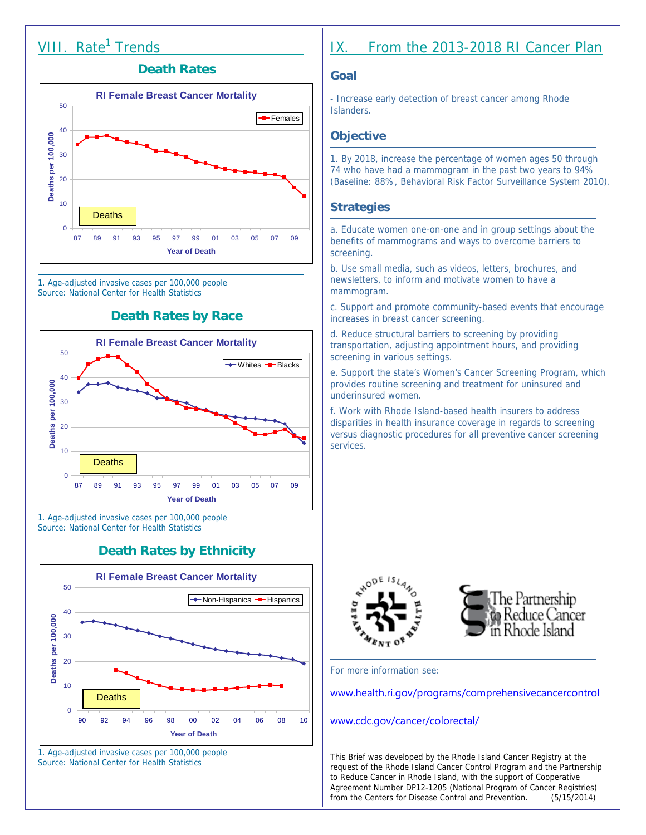### VIII. Rate<sup>1</sup> Trends

#### **Death Rates**



1. Age-adjusted invasive cases per 100,000 people Source: National Center for Health Statistics

#### **Death Rates by Race**



1. Age-adjusted invasive cases per 100,000 people Source: National Center for Health Statistics

#### **Death Rates by Ethnicity**



1. Age-adjusted invasive cases per 100,000 people Source: National Center for Health Statistics

### IX. From the 2013-2018 RI Cancer Plan

#### **Goal**

- Increase early detection of breast cancer among Rhode Islanders.

#### **Objective**

1. By 2018, increase the percentage of women ages 50 through 74 who have had a mammogram in the past two years to 94% (Baseline: 88%, Behavioral Risk Factor Surveillance System 2010).

#### **Strategies**

a. Educate women one-on-one and in group settings about the benefits of mammograms and ways to overcome barriers to screening.

b. Use small media, such as videos, letters, brochures, and newsletters, to inform and motivate women to have a mammogram.

c. Support and promote community-based events that encourage increases in breast cancer screening.

d. Reduce structural barriers to screening by providing transportation, adjusting appointment hours, and providing screening in various settings.

e. Support the state's Women's Cancer Screening Program, which provides routine screening and treatment for uninsured and underinsured women.

f. Work with Rhode Island-based health insurers to address disparities in health insurance coverage in regards to screening versus diagnostic procedures for all preventive cancer screening services.





For more information see:

www.health.ri.gov/programs/comprehensivecancercontrol

#### www.cdc.gov/cancer/colorectal/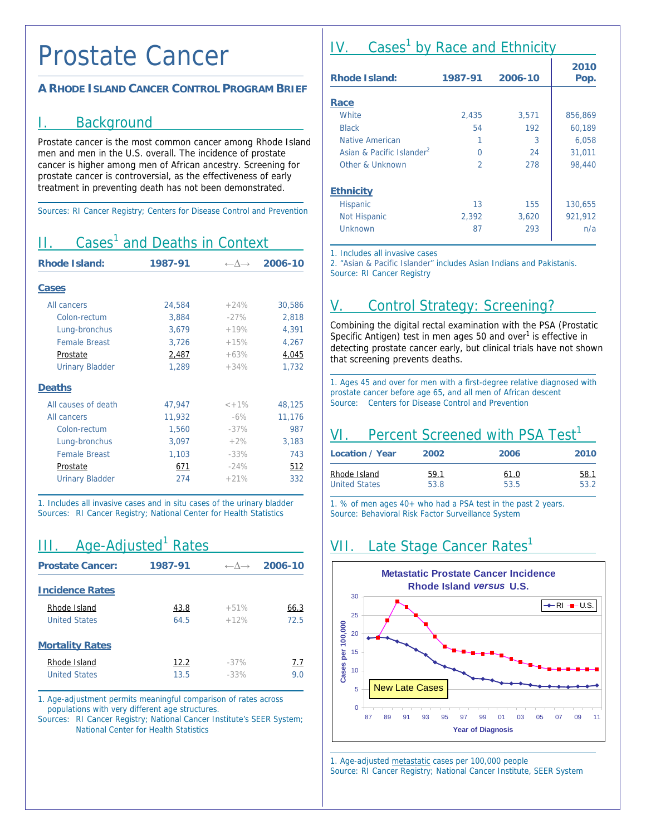### Prostate Cancer

#### **A RHODE ISLAND CANCER CONTROL PROGRAM BRIEF**

#### I. Background

Prostate cancer is the most common cancer among Rhode Island men and men in the U.S. overall. The incidence of prostate cancer is higher among men of African ancestry. Screening for prostate cancer is controversial, as the effectiveness of early treatment in preventing death has not been demonstrated.

Sources: RI Cancer Registry; Centers for Disease Control and Prevention

# II. Cases<sup>1</sup> and Deaths in Context

| <b>Rhode Island:</b>   | 1987-91 | $\leftarrow \wedge \rightarrow$ | 2006-10 |
|------------------------|---------|---------------------------------|---------|
| <b>Cases</b>           |         |                                 |         |
| All cancers            | 24,584  | $+24%$                          | 30,586  |
| Colon-rectum           | 3.884   | $-27%$                          | 2,818   |
| Lung-bronchus          | 3,679   | $+19%$                          | 4,391   |
| <b>Female Breast</b>   | 3,726   | $+15%$                          | 4,267   |
| Prostate               | 2,487   | $+63%$                          | 4,045   |
| <b>Urinary Bladder</b> | 1,289   | $+34%$                          | 1,732   |
| <b>Deaths</b>          |         |                                 |         |
| All causes of death    | 47,947  | $< +1\%$                        | 48,125  |
| All cancers            | 11,932  | $-6\%$                          | 11,176  |
| Colon-rectum           | 1,560   | $-37%$                          | 987     |
| Lung-bronchus          | 3,097   | $+2%$                           | 3,183   |
| <b>Female Breast</b>   | 1,103   | $-33%$                          | 743     |
| Prostate               | 671     | $-24%$                          | 512     |
| <b>Urinary Bladder</b> | 274     | $+21%$                          | 332     |

1. Includes all invasive cases and in situ cases of the urinary bladder Sources: RI Cancer Registry; National Center for Health Statistics

### III. Age-Adjusted<sup>1</sup> Rates

| <b>Prostate Cancer:</b> | 1987-91 | $\leftarrow \wedge \rightarrow$ | 2006-10 |
|-------------------------|---------|---------------------------------|---------|
| <b>Incidence Rates</b>  |         |                                 |         |
| Rhode Island            | 43.8    | $+51%$                          | 66.3    |
| <b>United States</b>    | 64.5    | $+12%$                          | 72.5    |
| <b>Mortality Rates</b>  |         |                                 |         |
| Rhode Island            | 12.2    | $-37%$                          | 7.7     |
| <b>United States</b>    | 13.5    | $-33%$                          | 9.O     |

1. Age-adjustment permits meaningful comparison of rates across populations with very different age structures.

Sources: RI Cancer Registry; National Cancer Institute's SEER System; National Center for Health Statistics

# IV. Cases<sup>1</sup> by Race and Ethnicity

| <b>Rhode Island:</b>                  | 1987-91        | 2006-10 | 2010<br>Pop. |
|---------------------------------------|----------------|---------|--------------|
| Race                                  |                |         |              |
| White                                 | 2,435          | 3,571   | 856,869      |
| <b>Black</b>                          | 54             | 192     | 60,189       |
| Native American                       |                | 3       | 6,058        |
| Asian & Pacific Islander <sup>2</sup> | O              | 24      | 31.011       |
| Other & Unknown                       | $\mathfrak{D}$ | 278     | 98,440       |
| <b>Ethnicity</b>                      |                |         |              |
| <b>Hispanic</b>                       | 13             | 155     | 130,655      |
| <b>Not Hispanic</b>                   | 2,392          | 3,620   | 921,912      |
| Unknown                               | 87             | 293     | n/a          |

1. Includes all invasive cases

2. "Asian & Pacific Islander" includes Asian Indians and Pakistanis. Source: RI Cancer Registry

# V. Control Strategy: Screening?

Combining the digital rectal examination with the PSA (Prostatic Specific Antigen) test in men ages 50 and over<sup>1</sup> is effective in detecting prostate cancer early, but clinical trials have not shown that screening prevents deaths.

1. Ages 45 and over for men with a first-degree relative diagnosed with prostate cancer before age 65, and all men of African descent Source: Centers for Disease Control and Prevention

### VI. Percent Screened with PSA Test<sup>1</sup>

| Location / Year      | 2002        | 2006 | 2010        |
|----------------------|-------------|------|-------------|
| Rhode Island         | <u>59.1</u> | 61.0 | <u>58.1</u> |
| <b>United States</b> | 53.8        | 53.5 | 53.2        |

1. % of men ages 40+ who had a PSA test in the past 2 years. Source: Behavioral Risk Factor Surveillance System

# VII. Late Stage Cancer Rates<sup>1</sup>



 $\overline{a}$ 

1. Age-adjusted metastatic cases per 100,000 people Source: RI Cancer Registry; National Cancer Institute, SEER System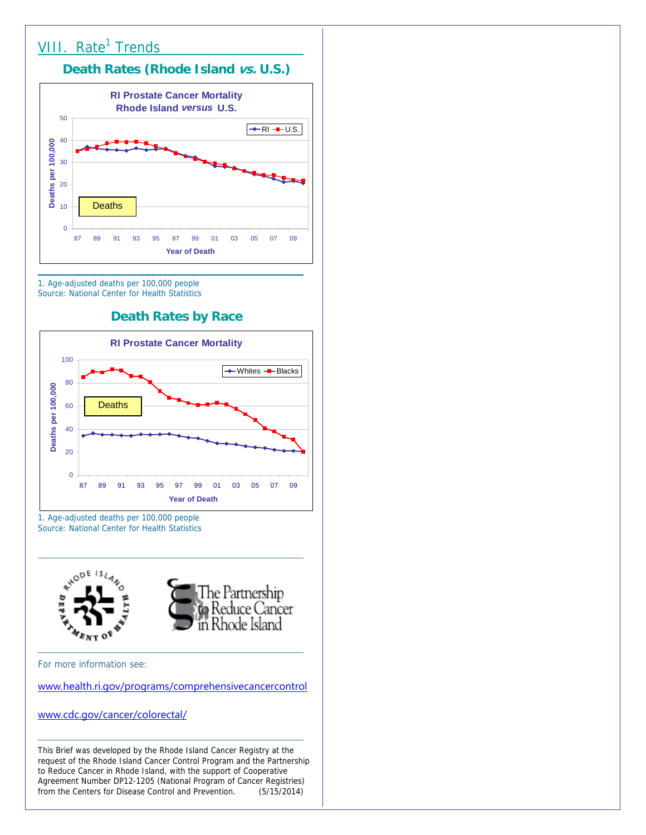

Source: National Center for Health Statistics

#### **Death Rates by Race**



1. Age-adjusted deaths per 100,000 people Source: National Center for Health Statistics



For more information see:

www.health.ri.gov/programs/comprehensivecancercontrol

www.cdc.gov/cancer/colorectal/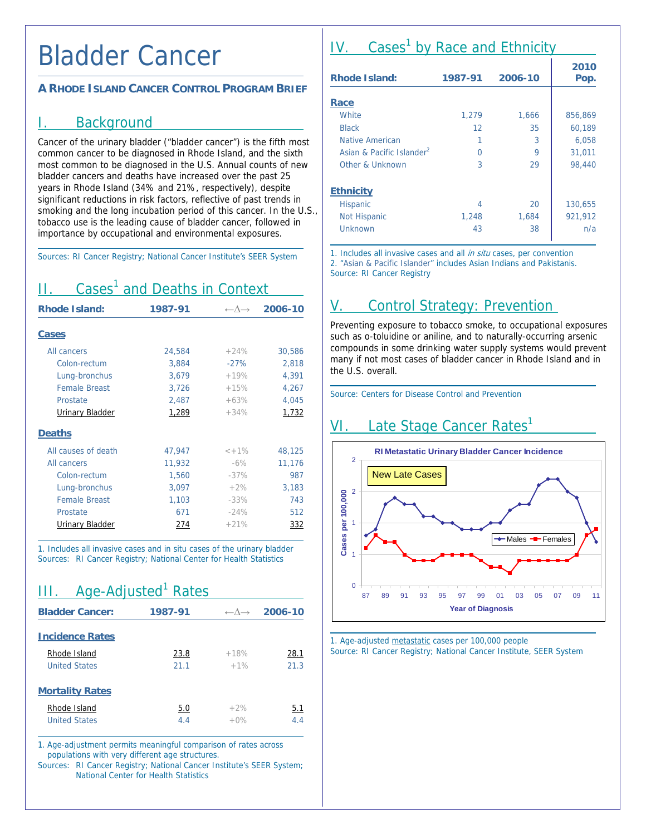### Bladder Cancer

#### **A RHODE ISLAND CANCER CONTROL PROGRAM BRIEF**

#### I. Background

Cancer of the urinary bladder ("bladder cancer") is the fifth most common cancer to be diagnosed in Rhode Island, and the sixth most common to be diagnosed in the U.S. Annual counts of new bladder cancers and deaths have increased over the past 25 years in Rhode Island (34% and 21%, respectively), despite significant reductions in risk factors, reflective of past trends in smoking and the long incubation period of this cancer. In the U.S., tobacco use is the leading cause of bladder cancer, followed in importance by occupational and environmental exposures.

Sources: RI Cancer Registry; National Cancer Institute's SEER System

| Cases' and Deaths in Context |         |                                 |         |
|------------------------------|---------|---------------------------------|---------|
| <b>Rhode Island:</b>         | 1987-91 | $\leftarrow \wedge \rightarrow$ | 2006-10 |
| Cases                        |         |                                 |         |
| All cancers                  | 24,584  | $+24%$                          | 30,586  |
| Colon-rectum                 | 3,884   | $-27%$                          | 2,818   |
| Lung-bronchus                | 3,679   | $+19%$                          | 4,391   |
| <b>Female Breast</b>         | 3,726   | $+15%$                          | 4,267   |
| Prostate                     | 2,487   | $+63%$                          | 4,045   |
| <b>Urinary Bladder</b>       | 1,289   | $+34%$                          | 1,732   |
| <b>Deaths</b>                |         |                                 |         |
| All causes of death          | 47,947  | $< +1\%$                        | 48,125  |
| All cancers                  | 11,932  | $-6\%$                          | 11,176  |
| Colon-rectum                 | 1,560   | $-37%$                          | 987     |
| Lung-bronchus                | 3,097   | $+2%$                           | 3,183   |
| <b>Female Breast</b>         | 1,103   | $-33%$                          | 743     |
| Prostate                     | 671     | $-24%$                          | 512     |
| <b>Urinary Bladder</b>       | 274     | $+21%$                          | 332     |

1. Includes all invasive cases and in situ cases of the urinary bladder Sources: RI Cancer Registry; National Center for Health Statistics

| Age-Adjusted <sup>1</sup> Rates<br>III. |         |        |                                         |
|-----------------------------------------|---------|--------|-----------------------------------------|
| <b>Bladder Cancer:</b>                  | 1987-91 |        | $\leftarrow \wedge \rightarrow 2006-10$ |
| <b>Incidence Rates</b>                  |         |        |                                         |
| Rhode Island                            | 23.8    | $+18%$ | 28.1                                    |
| <b>United States</b>                    | 21.1    | $+1%$  | 21.3                                    |
| <b>Mortality Rates</b>                  |         |        |                                         |
| Rhode Island                            | 5.0     | $+2%$  | 5.1                                     |
| <b>United States</b>                    | 4.4     | $+0\%$ | 4.4                                     |

1. Age-adjustment permits meaningful comparison of rates across populations with very different age structures.

Sources: RI Cancer Registry; National Cancer Institute's SEER System; National Center for Health Statistics

# IV. Cases<sup>1</sup> by Race and Ethnicity

| <b>Rhode Island:</b>                  | 1987-91 | 2006-10 | 2010<br>Pop. |
|---------------------------------------|---------|---------|--------------|
|                                       |         |         |              |
| Race                                  |         |         |              |
| White                                 | 1,279   | 1,666   | 856,869      |
| <b>Black</b>                          | 12      | 35      | 60,189       |
| Native American                       | 1       | 3       | 6,058        |
| Asian & Pacific Islander <sup>2</sup> | U       | 9       | 31,011       |
| Other & Unknown                       | 3       | 29      | 98,440       |
| <b>Ethnicity</b>                      |         |         |              |
| Hispanic                              | 4       | 20      | 130,655      |
| <b>Not Hispanic</b>                   | 1,248   | 1,684   | 921,912      |
| Unknown                               | 43      | 38      | n/a          |

1. Includes all invasive cases and all in situ cases, per convention 2. "Asian & Pacific Islander" includes Asian Indians and Pakistanis. Source: RI Cancer Registry

# Control Strategy: Prevention

Preventing exposure to tobacco smoke, to occupational exposures such as o-toluidine or aniline, and to naturally-occurring arsenic compounds in some drinking water supply systems would prevent many if not most cases of bladder cancer in Rhode Island and in the U.S. overall.

 $\overline{a}$ 

Source: Centers for Disease Control and Prevention

# VI. Late Stage Cancer Rates<sup>1</sup>



1. Age-adjusted metastatic cases per 100,000 people Source: RI Cancer Registry; National Cancer Institute, SEER System